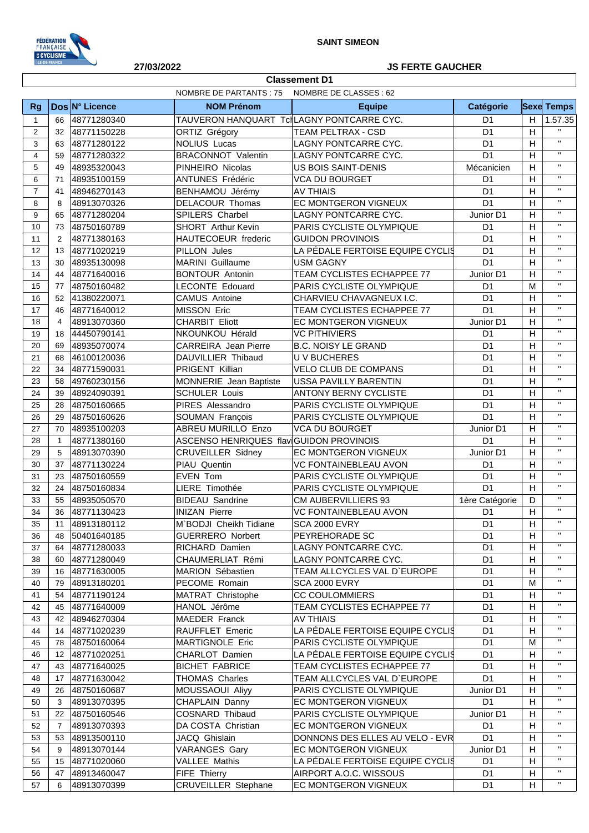

**Classement D1**

## **27/03/2022 JS FERTE GAUCHER**

|                | NOMBRE DE PARTANTS : 75<br>NOMBRE DE CLASSES : 62 |                            |                                           |                                  |                             |                |                         |
|----------------|---------------------------------------------------|----------------------------|-------------------------------------------|----------------------------------|-----------------------------|----------------|-------------------------|
| <b>Rg</b>      |                                                   | Dos N° Licence             | <b>NOM Prénom</b>                         | <b>Equipe</b>                    | <b>Catégorie</b>            |                | <b>Sexe Temps</b>       |
| $\mathbf{1}$   | 66                                                | 48771280340                | TAUVERON HANQUART TclLAGNY PONTCARRE CYC. |                                  | D <sub>1</sub>              | H              | 1.57.35                 |
| $\overline{2}$ | 32                                                | 48771150228                | ORTIZ Grégory                             | <b>TEAM PELTRAX - CSD</b>        | D <sub>1</sub>              | H              | $\mathbf{H}$            |
| 3              | 63                                                | 48771280122                | <b>NOLIUS Lucas</b>                       | LAGNY PONTCARRE CYC.             | D <sub>1</sub>              | H              | $\mathbf{u}$            |
| $\overline{4}$ | 59                                                | 48771280322                | <b>BRACONNOT Valentin</b>                 | LAGNY PONTCARRE CYC.             | D <sub>1</sub>              | H              | $\mathbf{u}$            |
| 5              | 49                                                | 48935320043                | PINHEIRO Nicolas                          | <b>US BOIS SAINT-DENIS</b>       | Mécanicien                  | H              | $\mathbf{H}$            |
| 6              | 71                                                | 48935100159                | ANTUNES Frédéric                          | <b>VCA DU BOURGET</b>            | D <sub>1</sub>              | H              | $\mathbf{H}$            |
| $\overline{7}$ | 41                                                | 48946270143                | BENHAMOU Jérémy                           | <b>AV THIAIS</b>                 | D <sub>1</sub>              | H              | $\mathbf{H}$            |
| 8              | 8                                                 | 48913070326                | <b>DELACOUR Thomas</b>                    | EC MONTGERON VIGNEUX             | D <sub>1</sub>              | H              | $\mathbf{H}$            |
| 9              | 65                                                | 48771280204                | SPILERS Charbel                           | LAGNY PONTCARRE CYC.             | Junior D1                   | H              | $\mathbf{H}$            |
| 10             | 73                                                | 48750160789                | SHORT Arthur Kevin                        | PARIS CYCLISTE OLYMPIQUE         | D <sub>1</sub>              | H              | $\mathbf{H}$            |
| 11             | 2                                                 | 48771380163                | HAUTECOEUR frederic                       | <b>GUIDON PROVINOIS</b>          | D <sub>1</sub>              | H              | $\mathbf{H}$            |
| 12             | 13                                                | 48771020219                | PILLON Jules                              | LA PÉDALE FERTOISE EQUIPE CYCLIS | D <sub>1</sub>              | H              | $\mathbf{H}$            |
| 13             | 30                                                | 48935130098                | MARINI Guillaume                          | <b>USM GAGNY</b>                 | D <sub>1</sub>              | H              | $\mathbf{H}$            |
| 14             | 44                                                | 48771640016                | <b>BONTOUR Antonin</b>                    | TEAM CYCLISTES ECHAPPEE 77       | Junior D1                   | H              | $\mathbf{H}$            |
| 15             | 77                                                | 48750160482                | <b>LECONTE Edouard</b>                    | PARIS CYCLISTE OLYMPIQUE         | D <sub>1</sub>              | M              | $\mathbf{H}$            |
| 16             | 52                                                | 41380220071                | <b>CAMUS Antoine</b>                      | CHARVIEU CHAVAGNEUX I.C.         | D <sub>1</sub>              | H              | $\mathbf{H}$            |
| 17             | 46                                                | 48771640012                | MISSON Eric                               | TEAM CYCLISTES ECHAPPEE 77       | D <sub>1</sub>              | H              | $\mathbf{H}$            |
| 18             | 4                                                 | 48913070360                | <b>CHARBIT Eliott</b>                     | EC MONTGERON VIGNEUX             | Junior D1                   | H              | $\mathbf{H}$            |
| 19             | 18                                                | 44450790141                | NKOUNKOU Hérald                           | <b>VC PITHIVIERS</b>             | D <sub>1</sub>              | H              | $\mathbf{H}$            |
| 20             | 69                                                | 48935070074                | <b>CARREIRA</b> Jean Pierre               | <b>B.C. NOISY LE GRAND</b>       | D <sub>1</sub>              | H              | $\mathbf{H}$            |
| 21             | 68                                                | 46100120036                | DAUVILLIER Thibaud                        | <b>UV BUCHERES</b>               | D <sub>1</sub>              | H              | $\mathbf{H}$            |
| 22             | 34                                                | 48771590031                | PRIGENT Killian                           | VELO CLUB DE COMPANS             | D <sub>1</sub>              | H              | $\mathbf{H}$            |
| 23             | 58                                                | 49760230156                | MONNERIE Jean Baptiste                    | <b>USSA PAVILLY BARENTIN</b>     | D <sub>1</sub>              | H              | $\mathbf{H}$            |
| 24             | 39                                                | 48924090391                | <b>SCHULER Louis</b>                      | <b>ANTONY BERNY CYCLISTE</b>     | D <sub>1</sub>              | H              | $\mathbf{H}$            |
| 25             | 28                                                | 48750160665                | PIRES Alessandro                          | PARIS CYCLISTE OLYMPIQUE         | D <sub>1</sub>              | H              | $\mathbf{H}$            |
| 26             | 29                                                | 48750160626                | SOUMAN François                           | PARIS CYCLISTE OLYMPIQUE         | D <sub>1</sub>              | H              | $\mathbf{H}$            |
| 27             | 70                                                | 48935100203                | ABREU MURILLO Enzo                        | <b>VCA DU BOURGET</b>            | Junior D1                   | H              | $\mathbf{H}$            |
| 28             |                                                   | 48771380160                | ASCENSO HENRIQUES flav GUIDON PROVINOIS   |                                  | D <sub>1</sub>              | H              | $\mathbf{H}$            |
| 29             | $\mathbf{1}$<br>5                                 | 48913070390                | <b>CRUVEILLER Sidney</b>                  | EC MONTGERON VIGNEUX             | Junior D1                   | H              | $\mathbf{H}$            |
| 30             | 37                                                | 48771130224                | PIAU Quentin                              | <b>VC FONTAINEBLEAU AVON</b>     | D <sub>1</sub>              | H              | $\overline{\mathbf{u}}$ |
| 31             | 23                                                | 48750160559                | EVEN Tom                                  | PARIS CYCLISTE OLYMPIQUE         | D <sub>1</sub>              | H              | $\mathbf{H}$            |
| 32             | 24                                                | 48750160834                | LIERE Timothée                            | PARIS CYCLISTE OLYMPIQUE         | D <sub>1</sub>              | $\overline{H}$ | $\mathbf{H}$            |
| 33             | 55                                                | 48935050570                | <b>BIDEAU Sandrine</b>                    | <b>CM AUBERVILLIERS 93</b>       | 1ère Catégorie              | D              | $\mathbf{H}$            |
| 34             | 36                                                | 48771130423                | <b>INIZAN Pierre</b>                      | <b>VC FONTAINEBLEAU AVON</b>     | D <sub>1</sub>              | H              | $\mathbf{H}$            |
| 35             | 11                                                | 48913180112                | M`BODJI Cheikh Tidiane                    | <b>SCA 2000 EVRY</b>             | D <sub>1</sub>              | $\overline{H}$ | $\mathbf{H}$            |
| 36             | 48                                                | 50401640185                | <b>GUERRERO Norbert</b>                   | PEYREHORADE SC                   | D <sub>1</sub>              | Н              | $\mathbf{H}$            |
| 37             | 64                                                | 48771280033                | RICHARD Damien                            | LAGNY PONTCARRE CYC.             | D <sub>1</sub>              | H              | $\mathbf{H}$            |
| 38             | 60                                                | 48771280049                | CHAUMERLIAT Rémi                          | LAGNY PONTCARRE CYC.             | D <sub>1</sub>              | H              | $\mathbf{H}$            |
| 39             | 16                                                | 48771630005                | <b>MARION Sébastien</b>                   | TEAM ALLCYCLES VAL D'EUROPE      | D <sub>1</sub>              | H              | $\mathbf{H}$            |
| 40             | 79                                                | 48913180201                | PECOME Romain                             | <b>SCA 2000 EVRY</b>             | D <sub>1</sub>              | M              | $\mathbf{H}$            |
| 41             | 54                                                | 48771190124                | MATRAT Christophe                         | <b>CC COULOMMIERS</b>            | D <sub>1</sub>              | H              | $\mathbf{H}$            |
| 42             | 45                                                | 48771640009                | HANOL Jérôme                              | TEAM CYCLISTES ECHAPPEE 77       | D <sub>1</sub>              | $\mathsf{H}$   | $\mathbf{H}$            |
| 43             | 42                                                | 48946270304                | <b>MAEDER Franck</b>                      | <b>AV THIAIS</b>                 | D <sub>1</sub>              | H              | $\mathbf{H}$            |
| 44             | 14                                                | 48771020239                | RAUFFLET Emeric                           | LA PÉDALE FERTOISE EQUIPE CYCLIS | D <sub>1</sub>              | H              | $\mathbf{H}$            |
| 45             | 78                                                | 48750160064                | MARTIGNOLE Eric                           | PARIS CYCLISTE OLYMPIQUE         | D <sub>1</sub>              | м              | $\mathbf{H}$            |
| 46             | 12 <sup>°</sup>                                   | 48771020251                | CHARLOT Damien                            | LA PÉDALE FERTOISE EQUIPE CYCLIS | D <sub>1</sub>              | H              | $\mathbf{H}$            |
| 47             | 43                                                | 48771640025                | <b>BICHET FABRICE</b>                     | TEAM CYCLISTES ECHAPPEE 77       | D <sub>1</sub>              | H              | $\mathbf{H}$            |
| 48             | 17                                                |                            | <b>THOMAS Charles</b>                     | TEAM ALLCYCLES VAL D'EUROPE      | D <sub>1</sub>              | H              | $\mathbf{H}$            |
| 49             | 26                                                | 48771630042                | MOUSSAOUI Aliyy                           | PARIS CYCLISTE OLYMPIQUE         | Junior D1                   | H              | $\mathbf{H}$            |
| 50             | 3                                                 | 48750160687<br>48913070395 | CHAPLAIN Danny                            | EC MONTGERON VIGNEUX             | D <sub>1</sub>              | H              | $\mathbf{H}$            |
| 51             | 22                                                | 48750160546                | COSNARD Thibaud                           | PARIS CYCLISTE OLYMPIQUE         | Junior D1                   | H              | $\mathbf{H}$            |
| 52             | $\overline{7}$                                    | 48913070393                | DA COSTA Christian                        | EC MONTGERON VIGNEUX             | D <sub>1</sub>              | H              | $\mathbf{H}$            |
| 53             | 53                                                | 48913500110                | JACQ Ghislain                             | DONNONS DES ELLES AU VELO - EVR  | D <sub>1</sub>              | H              | $\mathbf{H}$            |
| 54             | 9                                                 | 48913070144                | <b>VARANGES Gary</b>                      | EC MONTGERON VIGNEUX             |                             | H              | $\mathbf{H}$            |
| 55             | 15                                                | 48771020060                | VALLEE Mathis                             | LA PÉDALE FERTOISE EQUIPE CYCLIS | Junior D1<br>D <sub>1</sub> | H              | $\mathbf{H}$            |
| 56             | 47                                                | 48913460047                | FIFE Thierry                              | AIRPORT A.O.C. WISSOUS           | D <sub>1</sub>              | H              | $\mathbf{H}$            |
| 57             | 6                                                 | 48913070399                | <b>CRUVEILLER Stephane</b>                | EC MONTGERON VIGNEUX             | D <sub>1</sub>              | н              | $\mathbf{H}$            |
|                |                                                   |                            |                                           |                                  |                             |                |                         |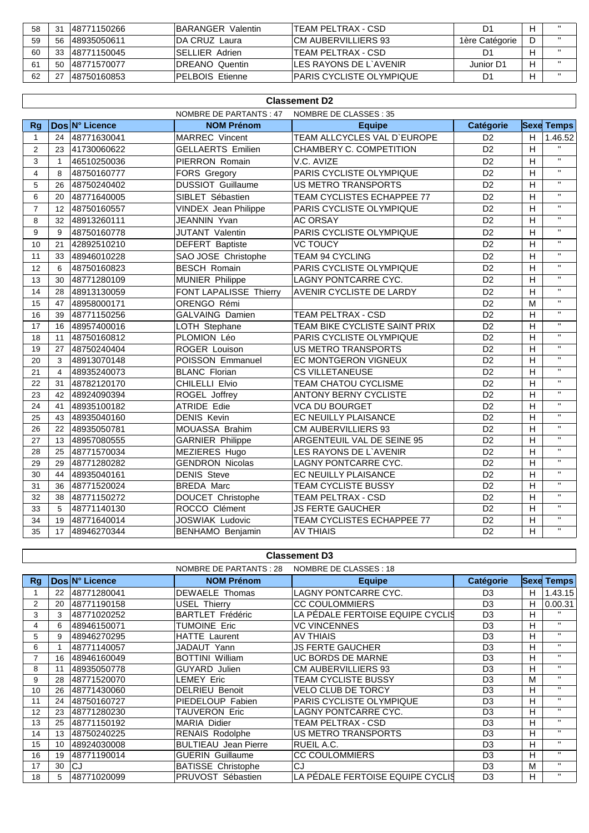| 58 | 21 | 148771150266 | <b>BARANGER Valentin</b> | TEAM PELTRAX - CSD        | D1             |  |
|----|----|--------------|--------------------------|---------------------------|----------------|--|
| 59 | 56 | 148935050611 | <b>IDA CRUZ Laura</b>    | ICM AUBERVILLIERS 93      | 1ère Catégorie |  |
| 60 | 33 | 148771150045 | <b>ISELLIER Adrien</b>   | TEAM PELTRAX - CSD        |                |  |
|    | 50 | 148771570077 | <b>IDREANO Quentin</b>   | ILES RAYONS DE L`AVENIR   | Junior D1      |  |
| 62 |    | 148750160853 | <b>PELBOIS Etienne</b>   | IPARIS CYCLISTE OLYMPIQUE |                |  |

| <b>Classement D2</b> |                                                 |                |                             |                                 |                 |                |                   |
|----------------------|-------------------------------------------------|----------------|-----------------------------|---------------------------------|-----------------|----------------|-------------------|
|                      | NOMBRE DE PARTANTS: 47<br>NOMBRE DE CLASSES: 35 |                |                             |                                 |                 |                |                   |
| <b>Rg</b>            |                                                 | Dos N° Licence | <b>NOM Prénom</b>           | <b>Equipe</b>                   | Catégorie       |                | <b>Sexe Temps</b> |
| $\mathbf{1}$         | 24                                              | 48771630041    | <b>MARREC Vincent</b>       | TEAM ALLCYCLES VAL D'EUROPE     | D <sub>2</sub>  | H              | 1.46.52           |
| 2                    | 23                                              | 41730060622    | <b>GELLAERTS Emilien</b>    | CHAMBERY C. COMPETITION         | D <sub>2</sub>  | H              | $\mathbf{H}$      |
| 3                    | $\mathbf{1}$                                    | 46510250036    | PIERRON Romain              | V.C. AVIZE                      | D <sub>2</sub>  | H              | $\mathbf{H}$      |
| $\overline{4}$       | 8                                               | 48750160777    | <b>FORS Gregory</b>         | PARIS CYCLISTE OLYMPIQUE        | D <sub>2</sub>  | $\overline{H}$ | $\overline{u}$    |
| 5                    | 26                                              | 48750240402    | <b>DUSSIOT Guillaume</b>    | <b>US METRO TRANSPORTS</b>      | D <sub>2</sub>  | H              | $\mathbf{H}$      |
| 6                    | 20                                              | 48771640005    | SIBLET Sébastien            | TEAM CYCLISTES ECHAPPEE 77      | D <sub>2</sub>  | H              | $\mathbf{H}$      |
| $\overline{7}$       | 12                                              | 48750160557    | <b>VINDEX Jean Philippe</b> | PARIS CYCLISTE OLYMPIQUE        | D <sub>2</sub>  | H              | $\mathbf{H}$      |
| 8                    | 32                                              | 48913260111    | JEANNIN Yvan                | <b>AC ORSAY</b>                 | D <sub>2</sub>  | H              | $\mathbf{H}$      |
| 9                    | 9                                               | 48750160778    | <b>JUTANT Valentin</b>      | PARIS CYCLISTE OLYMPIQUE        | D <sub>2</sub>  | H              | $\mathbf{H}$      |
| 10                   | 21                                              | 42892510210    | <b>DEFERT Baptiste</b>      | <b>VC TOUCY</b>                 | D <sub>2</sub>  | H              | $\mathbf{H}$      |
| 11                   | 33                                              | 48946010228    | SAO JOSE Christophe         | <b>TEAM 94 CYCLING</b>          | D <sub>2</sub>  | H              | $\mathbf{H}$      |
| 12                   | 6                                               | 48750160823    | <b>BESCH Romain</b>         | PARIS CYCLISTE OLYMPIQUE        | D <sub>2</sub>  | H              | $\mathbf{H}$      |
| 13                   | 30                                              | 48771280109    | <b>MUNIER Philippe</b>      | LAGNY PONTCARRE CYC.            | D <sub>2</sub>  | H              | $\mathbf{H}$      |
| 14                   | 28                                              | 48913130059    | FONT LAPALISSE Thierry      | <b>AVENIR CYCLISTE DE LARDY</b> | D <sub>2</sub>  | H              | $\mathbf{H}$      |
| 15                   | 47                                              | 48958000171    | ORENGO Rémi                 |                                 | D <sub>2</sub>  | M              | $\mathbf{H}$      |
| 16                   | 39                                              | 48771150256    | <b>GALVAING Damien</b>      | <b>TEAM PELTRAX - CSD</b>       | D2              | H              | $\mathbf{u}$      |
| 17                   | 16                                              | 48957400016    | LOTH Stephane               | TEAM BIKE CYCLISTE SAINT PRIX   | D <sub>2</sub>  | H              | $\mathbf{H}$      |
| 18                   | 11                                              | 48750160812    | PLOMION Léo                 | PARIS CYCLISTE OLYMPIQUE        | D <sub>2</sub>  | H              | $\mathbf{H}$      |
| 19                   | 27                                              | 48750240404    | <b>ROGER Louison</b>        | <b>US METRO TRANSPORTS</b>      | D <sub>2</sub>  | H              | $\mathbf{H}$      |
| 20                   | 3                                               | 48913070148    | POISSON Emmanuel            | EC MONTGERON VIGNEUX            | D <sub>2</sub>  | H              | $\mathbf{H}$      |
| 21                   | $\overline{4}$                                  | 48935240073    | <b>BLANC Florian</b>        | <b>CS VILLETANEUSE</b>          | D <sub>2</sub>  | H              | $\mathbf{H}$      |
| 22                   | 31                                              | 48782120170    | CHILELLI Elvio              | TEAM CHATOU CYCLISME            | D <sub>2</sub>  | H              | $\mathbf{H}$      |
| 23                   | 42                                              | 48924090394    | ROGEL Joffrey               | <b>ANTONY BERNY CYCLISTE</b>    | D <sub>2</sub>  | H              | $\mathbf{H}$      |
| 24                   | 41                                              | 48935100182    | <b>ATRIDE Edie</b>          | <b>VCA DU BOURGET</b>           | D <sub>2</sub>  | $\mathsf{H}$   | $\mathbf{H}$      |
| 25                   | 43                                              | 48935040160    | <b>DENIS Kevin</b>          | EC NEUILLY PLAISANCE            | D <sub>2</sub>  | H              | $\mathbf{H}$      |
| 26                   | 22                                              | 48935050781    | MOUASSA Brahim              | <b>CM AUBERVILLIERS 93</b>      | D <sub>2</sub>  | H              | $\mathbf{H}$      |
| 27                   | 13                                              | 48957080555    | <b>GARNIER Philippe</b>     | ARGENTEUIL VAL DE SEINE 95      | D2              | H              | $\mathbf{H}$      |
| 28                   | 25                                              | 48771570034    | MEZIERES Hugo               | LES RAYONS DE L'AVENIR          | $\overline{D2}$ | H              | $\mathbf{H}$      |
| 29                   | 29                                              | 48771280282    | <b>GENDRON Nicolas</b>      | LAGNY PONTCARRE CYC.            | D <sub>2</sub>  | Н              | $\mathbf{H}$      |
| 30                   | 44                                              | 48935040161    | <b>DENIS Steve</b>          | EC NEUILLY PLAISANCE            | D <sub>2</sub>  | H              | $\mathbf{H}$      |
| 31                   | 36                                              | 48771520024    | <b>BREDA Marc</b>           | TEAM CYCLISTE BUSSY             | D2              | $\mathsf{H}$   | $\mathbf{u}$      |
| 32                   | 38                                              | 48771150272    | DOUCET Christophe           | TEAM PELTRAX - CSD              | D <sub>2</sub>  | $\mathsf{H}$   | $\mathbf{H}$      |
| 33                   | 5                                               | 48771140130    | ROCCO Clément               | <b>JS FERTE GAUCHER</b>         | D <sub>2</sub>  | $\mathsf{H}$   | $\mathbf{H}$      |
| 34                   | 19                                              | 48771640014    | <b>JOSWIAK Ludovic</b>      | TEAM CYCLISTES ECHAPPEE 77      | D <sub>2</sub>  | H              | $\mathbf{H}$      |
| 35                   | 17                                              | 48946270344    | BENHAMO Benjamin            | <b>AV THIAIS</b>                | D <sub>2</sub>  | H              | $\mathbf{H}$      |

|                | <b>Classement D3</b> |                |                             |                                  |                  |    |                   |  |
|----------------|----------------------|----------------|-----------------------------|----------------------------------|------------------|----|-------------------|--|
|                |                      |                | NOMBRE DE PARTANTS : 28     | NOMBRE DE CLASSES : 18           |                  |    |                   |  |
| Rg             |                      | Dos N° Licence | <b>NOM Prénom</b>           | <b>Equipe</b>                    | <b>Catégorie</b> |    | <b>Sexe Temps</b> |  |
|                | 22                   | 48771280041    | DEWAELE Thomas              | LAGNY PONTCARRE CYC.             | D <sub>3</sub>   | H  | 1.43.15           |  |
| 2              | 20                   | 48771190158    | USEL Thierry                | <b>CC COULOMMIERS</b>            | D <sub>3</sub>   | H  | 0.00.31           |  |
| 3              | 3                    | 48771020252    | <b>BARTLET Frédéric</b>     | LA PÉDALE FERTOISE EQUIPE CYCLIS | D <sub>3</sub>   | H  | $\mathbf{H}$      |  |
| 4              | 6                    | 48946150071    | <b>TUMOINE Eric</b>         | <b>VC VINCENNES</b>              | D <sub>3</sub>   | H  | $\mathbf{H}$      |  |
| 5              | 9                    | 48946270295    | HATTE Laurent               | <b>AV THIAIS</b>                 | D <sub>3</sub>   | н  | $\mathbf{H}$      |  |
| 6              |                      | 48771140057    | JADAUT Yann                 | <b>JS FERTE GAUCHER</b>          | D <sub>3</sub>   | H  | $\mathbf{H}$      |  |
| $\overline{7}$ | 16                   | 48946160049    | <b>BOTTINI William</b>      | <b>UC BORDS DE MARNE</b>         | D <sub>3</sub>   | H  | $\mathbf{H}$      |  |
| 8              | 11                   | 48935050778    | GUYARD Julien               | <b>CM AUBERVILLIERS 93</b>       | D <sub>3</sub>   | H  | $\mathbf{H}$      |  |
| 9              | 28                   | 48771520070    | LEMEY Eric                  | TEAM CYCLISTE BUSSY              | D <sub>3</sub>   | M  | $\mathbf{H}$      |  |
| 10             | 26                   | 48771430060    | <b>DELRIEU Benoit</b>       | <b>VELO CLUB DE TORCY</b>        | D <sub>3</sub>   | H  | $\mathbf{H}$      |  |
| 11             | 24                   | 48750160727    | PIEDELOUP Fabien            | PARIS CYCLISTE OLYMPIQUE         | D <sub>3</sub>   | H  | $\mathbf{H}$      |  |
| 12             | 23                   | 48771280230    | TAUVERON Eric               | <b>LAGNY PONTCARRE CYC.</b>      | D <sub>3</sub>   | н  | $\mathbf{H}$      |  |
| 13             | 25                   | 48771150192    | <b>MARIA Didier</b>         | TEAM PELTRAX - CSD               | D <sub>3</sub>   | H  | $\mathbf{H}$      |  |
| 14             | 13                   | 48750240225    | <b>RENAIS Rodolphe</b>      | <b>US METRO TRANSPORTS</b>       | D <sub>3</sub>   | H  | $\mathbf{H}$      |  |
| 15             | 10                   | 48924030008    | <b>BULTIEAU</b> Jean Pierre | RUEIL A.C.                       | D <sub>3</sub>   | H  | $\mathbf{H}$      |  |
| 16             | 19                   | 48771190014    | <b>GUERIN Guillaume</b>     | <b>CC COULOMMIERS</b>            | D <sub>3</sub>   | H  | $\mathbf{H}$      |  |
| 17             | 30                   | CJ             | <b>BATISSE Christophe</b>   | CJ                               | D <sub>3</sub>   | M  | $\mathbf{H}$      |  |
| 18             | 5                    | 48771020099    | PRUVOST Sébastien           | LA PÉDALE FERTOISE EQUIPE CYCLIS | D <sub>3</sub>   | H. | $\mathbf{H}$      |  |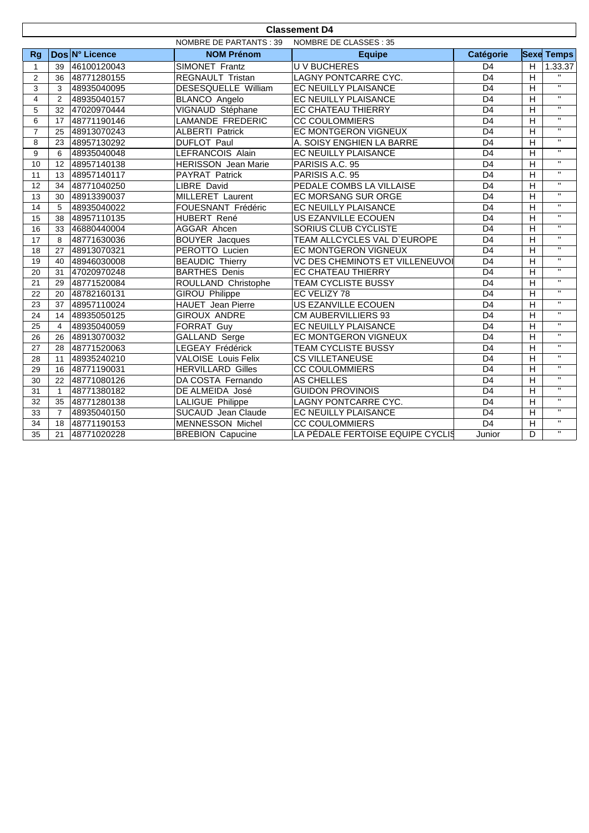|                | <b>Classement D4</b>                                    |                |                            |                                  |                 |                         |                         |  |
|----------------|---------------------------------------------------------|----------------|----------------------------|----------------------------------|-----------------|-------------------------|-------------------------|--|
|                | <b>NOMBRE DE PARTANTS: 39</b><br>NOMBRE DE CLASSES : 35 |                |                            |                                  |                 |                         |                         |  |
| <b>Rg</b>      |                                                         | Dos N° Licence | <b>NOM Prénom</b>          | <b>Equipe</b>                    | Catégorie       |                         | <b>Sexe Temps</b>       |  |
| $\mathbf{1}$   | 39                                                      | 46100120043    | SIMONET Frantz             | <b>UV BUCHERES</b>               | D <sub>4</sub>  | H                       | 1.33.37                 |  |
| $\overline{2}$ | 36                                                      | 48771280155    | REGNAULT Tristan           | LAGNY PONTCARRE CYC.             | D <sub>4</sub>  | H                       | $\mathbf{H}$            |  |
| 3              | 3                                                       | 48935040095    | DESESQUELLE William        | EC NEUILLY PLAISANCE             | D <sub>4</sub>  | H                       | $\overline{\mathbf{u}}$ |  |
| $\overline{4}$ | 2                                                       | 48935040157    | BLANCO Angelo              | EC NEUILLY PLAISANCE             | D <sub>4</sub>  | $\overline{H}$          | $\overline{\mathbf{u}}$ |  |
| 5              | 32                                                      | 47020970444    | VIGNAUD Stéphane           | EC CHATEAU THIERRY               | D <sub>4</sub>  | $\overline{H}$          | $\mathbf{H}$            |  |
| 6              | 17                                                      | 48771190146    | <b>LAMANDE FREDERIC</b>    | <b>CC COULOMMIERS</b>            | D <sub>4</sub>  | $\overline{H}$          | $\mathbf{H}$            |  |
| $\overline{7}$ | 25                                                      | 48913070243    | <b>ALBERTI Patrick</b>     | <b>EC MONTGERON VIGNEUX</b>      | D <sub>4</sub>  | $\overline{H}$          | $\overline{u}$          |  |
| 8              | 23                                                      | 48957130292    | <b>DUFLOT Paul</b>         | A. SOISY ENGHIEN LA BARRE        | D <sub>4</sub>  | $\overline{H}$          | $\overline{\mathbf{u}}$ |  |
| 9              | 6                                                       | 48935040048    | <b>LEFRANCOIS Alain</b>    | EC NEUILLY PLAISANCE             | D <sub>4</sub>  | $\overline{H}$          | $\mathbf{H}$            |  |
| 10             | 12                                                      | 48957140138    | <b>HERISSON</b> Jean Marie | PARISIS A.C. 95                  | D <sub>4</sub>  | H                       | $\mathbf{H}$            |  |
| 11             | 13                                                      | 48957140117    | PAYRAT Patrick             | PARISIS A.C. 95                  | D <sub>4</sub>  | H                       | $\mathbf{H}$            |  |
| 12             | 34                                                      | 48771040250    | <b>LIBRE David</b>         | PEDALE COMBS LA VILLAISE         | D <sub>4</sub>  | Η                       | $\mathbf{H}$            |  |
| 13             | 30                                                      | 48913390037    | MILLERET Laurent           | EC MORSANG SUR ORGE              | D <sub>4</sub>  | H                       | $\mathbf{H}$            |  |
| 14             | 5                                                       | 48935040022    | FOUESNANT Frédéric         | EC NEUILLY PLAISANCE             | $\overline{D4}$ | $\overline{H}$          | $\mathbf{H}$            |  |
| 15             | 38                                                      | 48957110135    | <b>HUBERT René</b>         | US EZANVILLE ECOUEN              | $\overline{D4}$ | $\overline{H}$          | $\overline{u}$          |  |
| 16             | 33                                                      | 46880440004    | AGGAR Ahcen                | SORIUS CLUB CYCLISTE             | $\overline{D4}$ | $\overline{H}$          | $\mathbf{H}$            |  |
| 17             | 8                                                       | 48771630036    | <b>BOUYER Jacques</b>      | TEAM ALLCYCLES VAL D'EUROPE      | D <sub>4</sub>  | $\overline{H}$          | $\mathbf{H}$            |  |
| 18             | 27                                                      | 48913070321    | PEROTTO Lucien             | EC MONTGERON VIGNEUX             | D <sub>4</sub>  | H                       | $\mathbf{H}$            |  |
| 19             | 40                                                      | 48946030008    | <b>BEAUDIC Thierry</b>     | VC DES CHEMINOTS ET VILLENEUVOI  | D <sub>4</sub>  | $\overline{H}$          | $\mathbf{H}$            |  |
| 20             | 31                                                      | 47020970248    | <b>BARTHES Denis</b>       | <b>EC CHATEAU THIERRY</b>        | $\overline{D4}$ | $\overline{H}$          | $\overline{\mathbf{u}}$ |  |
| 21             | 29                                                      | 48771520084    | ROULLAND Christophe        | <b>TEAM CYCLISTE BUSSY</b>       | D <sub>4</sub>  | $\overline{H}$          | $\mathbf{H}$            |  |
| 22             | 20                                                      | 48782160131    | <b>GIROU Philippe</b>      | EC VELIZY 78                     | D4              | $\overline{H}$          | $\overline{\mathbf{u}}$ |  |
| 23             | 37                                                      | 48957110024    | <b>HAUET</b> Jean Pierre   | <b>US EZANVILLE ECOUEN</b>       | D <sub>4</sub>  | $\overline{H}$          | $\overline{\mathbf{u}}$ |  |
| 24             | 14                                                      | 48935050125    | <b>GIROUX ANDRE</b>        | <b>CM AUBERVILLIERS 93</b>       | D <sub>4</sub>  | H                       | $\mathbf{H}$            |  |
| 25             | $\overline{4}$                                          | 48935040059    | <b>FORRAT Guy</b>          | EC NEUILLY PLAISANCE             | D <sub>4</sub>  | $\overline{H}$          | $\mathbf{H}$            |  |
| 26             | 26                                                      | 48913070032    | <b>GALLAND Serge</b>       | EC MONTGERON VIGNEUX             | D <sub>4</sub>  | H                       | $\mathbf{H}$            |  |
| 27             | 28                                                      | 48771520063    | LEGEAY Frédérick           | TEAM CYCLISTE BUSSY              | D <sub>4</sub>  | H                       | $\mathbf{H}$            |  |
| 28             | 11                                                      | 48935240210    | VALOISE Louis Felix        | <b>CS VILLETANEUSE</b>           | D <sub>4</sub>  | H                       | $\mathbf{H}$            |  |
| 29             | 16                                                      | 48771190031    | <b>HERVILLARD Gilles</b>   | <b>CC COULOMMIERS</b>            | D <sub>4</sub>  | $\overline{\mathsf{H}}$ | $\mathbf{u}$            |  |
| 30             | 22                                                      | 48771080126    | DA COSTA Fernando          | AS CHELLES                       | D4              | $\overline{H}$          | $\overline{\mathbf{u}}$ |  |
| 31             | $\mathbf{1}$                                            | 48771380182    | DE ALMEIDA José            | <b>GUIDON PROVINOIS</b>          | D <sub>4</sub>  | H                       | $\mathbf{H}$            |  |
| 32             | 35                                                      | 48771280138    | <b>LALIGUE Philippe</b>    | LAGNY PONTCARRE CYC.             | $\overline{D4}$ | H                       | $\mathbf{H}$            |  |
| 33             | $\overline{7}$                                          | 48935040150    | SUCAUD Jean Claude         | EC NEUILLY PLAISANCE             | D <sub>4</sub>  | $\overline{H}$          | $\mathbf{H}$            |  |
| 34             | 18                                                      | 48771190153    | <b>MENNESSON Michel</b>    | <b>CC COULOMMIERS</b>            | D <sub>4</sub>  | $\overline{H}$          | $\mathbf{H}$            |  |
| 35             | 21                                                      | 48771020228    | <b>BREBION Capucine</b>    | LA PÉDALE FERTOISE EQUIPE CYCLIS | Junior          | D                       | $\overline{u}$          |  |